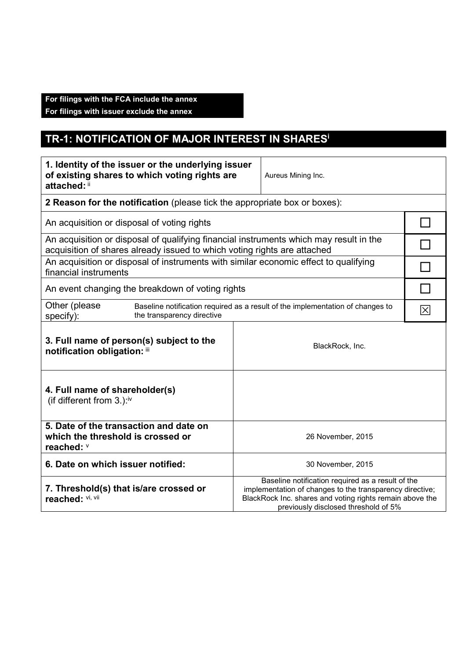## **For filings with the FCA include the annex**

**For filings with issuer exclude the annex** 

## **TR-1: NOTIFICATION OF MAJOR INTEREST IN SHARES<sup>i</sup>**

| 1. Identity of the issuer or the underlying issuer<br>of existing shares to which voting rights are<br>attached: ii                                                |                                                                                                                                                                                                                   | Aureus Mining Inc. |  |  |
|--------------------------------------------------------------------------------------------------------------------------------------------------------------------|-------------------------------------------------------------------------------------------------------------------------------------------------------------------------------------------------------------------|--------------------|--|--|
| 2 Reason for the notification (please tick the appropriate box or boxes):                                                                                          |                                                                                                                                                                                                                   |                    |  |  |
| An acquisition or disposal of voting rights                                                                                                                        |                                                                                                                                                                                                                   |                    |  |  |
| An acquisition or disposal of qualifying financial instruments which may result in the<br>acquisition of shares already issued to which voting rights are attached |                                                                                                                                                                                                                   |                    |  |  |
| An acquisition or disposal of instruments with similar economic effect to qualifying<br>financial instruments                                                      |                                                                                                                                                                                                                   |                    |  |  |
| An event changing the breakdown of voting rights                                                                                                                   |                                                                                                                                                                                                                   |                    |  |  |
| Other (please<br>the transparency directive<br>specify):                                                                                                           | Baseline notification required as a result of the implementation of changes to                                                                                                                                    |                    |  |  |
| 3. Full name of person(s) subject to the<br>notification obligation: iii                                                                                           | BlackRock, Inc.                                                                                                                                                                                                   |                    |  |  |
| 4. Full name of shareholder(s)<br>(if different from $3.$ ): <sup>iv</sup>                                                                                         |                                                                                                                                                                                                                   |                    |  |  |
| 5. Date of the transaction and date on<br>which the threshold is crossed or<br>reached: V                                                                          | 26 November, 2015                                                                                                                                                                                                 |                    |  |  |
| 6. Date on which issuer notified:                                                                                                                                  | 30 November, 2015                                                                                                                                                                                                 |                    |  |  |
| 7. Threshold(s) that is/are crossed or<br>reached: VI, Vii                                                                                                         | Baseline notification required as a result of the<br>implementation of changes to the transparency directive;<br>BlackRock Inc. shares and voting rights remain above the<br>previously disclosed threshold of 5% |                    |  |  |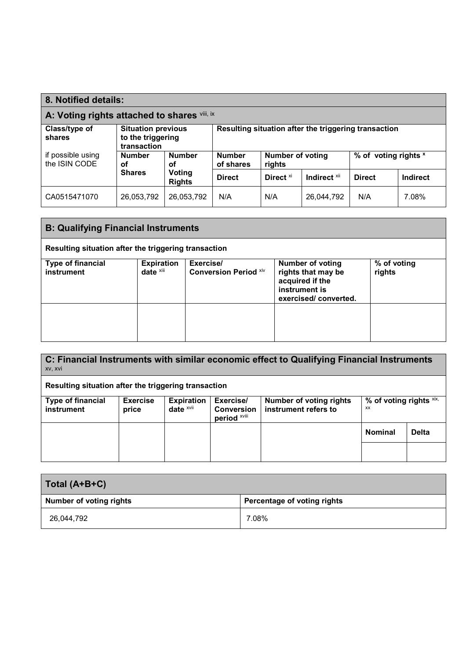| 8. Notified details:                         |                                                               |                         |                                                                 |                      |                         |               |                      |
|----------------------------------------------|---------------------------------------------------------------|-------------------------|-----------------------------------------------------------------|----------------------|-------------------------|---------------|----------------------|
| A: Voting rights attached to shares vili, ix |                                                               |                         |                                                                 |                      |                         |               |                      |
| Class/type of<br>shares                      | <b>Situation previous</b><br>to the triggering<br>transaction |                         | Resulting situation after the triggering transaction            |                      |                         |               |                      |
| if possible using<br>the ISIN CODE           | <b>Number</b><br>οf                                           | <b>Number</b><br>οf     | <b>Number of voting</b><br><b>Number</b><br>of shares<br>rights |                      |                         |               | % of voting rights x |
|                                              | <b>Shares</b>                                                 | Voting<br><b>Rights</b> | <b>Direct</b>                                                   | Direct <sup>xi</sup> | Indirect <sup>xii</sup> | <b>Direct</b> | <b>Indirect</b>      |
| CA0515471070                                 | 26,053,792                                                    | 26,053,792              | N/A                                                             | N/A                  | 26,044,792              | N/A           | 7.08%                |

| <b>B: Qualifying Financial Instruments</b>           |                                   |                                           |                                                                                                           |                       |  |
|------------------------------------------------------|-----------------------------------|-------------------------------------------|-----------------------------------------------------------------------------------------------------------|-----------------------|--|
| Resulting situation after the triggering transaction |                                   |                                           |                                                                                                           |                       |  |
| <b>Type of financial</b><br>instrument               | <b>Expiration</b><br>date $x$ iii | Exercise/<br><b>Conversion Period Xiv</b> | <b>Number of voting</b><br>rights that may be<br>acquired if the<br>instrument is<br>exercised/converted. | % of voting<br>rights |  |
|                                                      |                                   |                                           |                                                                                                           |                       |  |

| C: Financial Instruments with similar economic effect to Qualifying Financial Instruments<br>XV, XVI |                 |                         |                                          |                                |                            |              |
|------------------------------------------------------------------------------------------------------|-----------------|-------------------------|------------------------------------------|--------------------------------|----------------------------|--------------|
| Resulting situation after the triggering transaction                                                 |                 |                         |                                          |                                |                            |              |
| <b>Type of financial</b>                                                                             | <b>Exercise</b> | <b>Expiration</b>       | Exercise/                                | <b>Number of voting rights</b> | % of voting rights $x_{i}$ |              |
| instrument                                                                                           | price           | date $x$ <sub>vii</sub> | <b>Conversion</b><br>period <b>xviii</b> | instrument refers to           | xx                         |              |
|                                                                                                      |                 |                         |                                          |                                | <b>Nominal</b>             | <b>Delta</b> |
|                                                                                                      |                 |                         |                                          |                                |                            |              |

| Total (A+B+C)                  |                             |  |  |
|--------------------------------|-----------------------------|--|--|
| <b>Number of voting rights</b> | Percentage of voting rights |  |  |
| 26,044,792                     | 7.08%                       |  |  |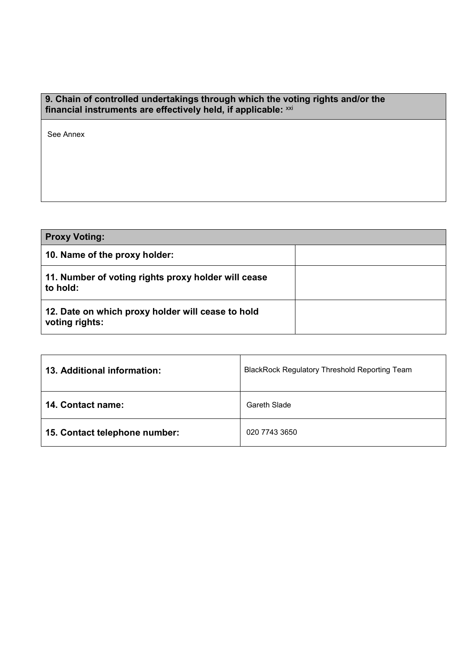## **9. Chain of controlled undertakings through which the voting rights and/or the financial instruments are effectively held, if applicable:** xxi

See Annex

| <b>Proxy Voting:</b>                                                |  |
|---------------------------------------------------------------------|--|
| 10. Name of the proxy holder:                                       |  |
| 11. Number of voting rights proxy holder will cease<br>to hold:     |  |
| 12. Date on which proxy holder will cease to hold<br>voting rights: |  |

| 13. Additional information:   | <b>BlackRock Regulatory Threshold Reporting Team</b> |  |
|-------------------------------|------------------------------------------------------|--|
| <b>14. Contact name:</b>      | Gareth Slade                                         |  |
| 15. Contact telephone number: | 020 7743 3650                                        |  |